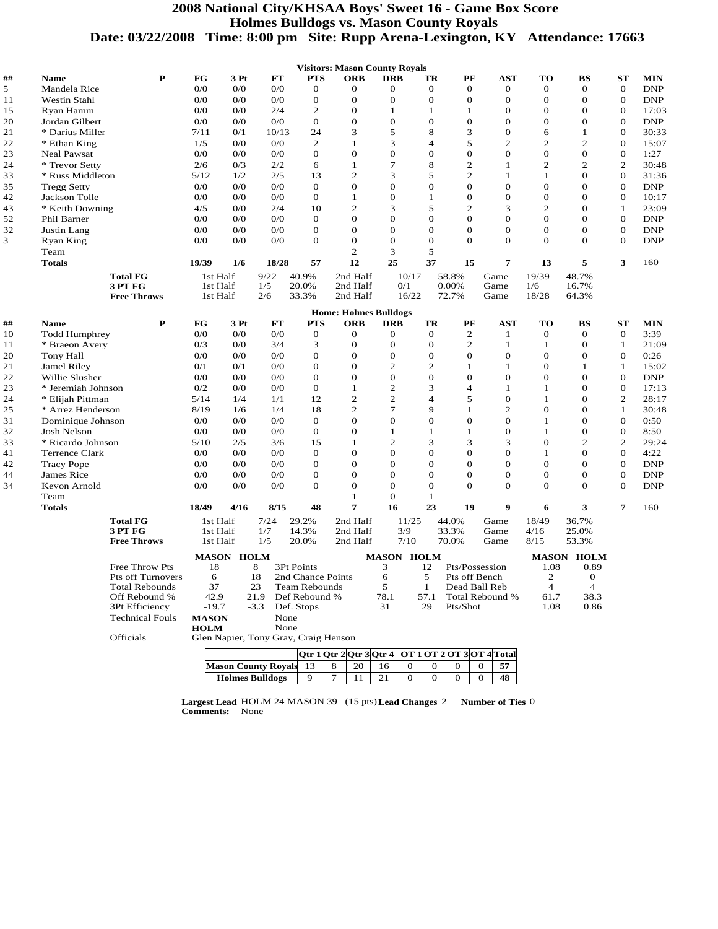## **2008 National City/KHSAA Boys' Sweet 16 - Game Box Score Holmes Bulldogs vs. Mason County Royals Date: 03/22/2008 Time: 8:00 pm Site: Rupp Arena-Lexington, KY Attendance: 17663**

|          |                               |                                                  |                                  |                   |                    |                                      | <b>Visitors: Mason County Royals</b>                |                          |                |                         |                      |                       |                              |                          |                    |
|----------|-------------------------------|--------------------------------------------------|----------------------------------|-------------------|--------------------|--------------------------------------|-----------------------------------------------------|--------------------------|----------------|-------------------------|----------------------|-----------------------|------------------------------|--------------------------|--------------------|
| ##       | <b>Name</b>                   | P                                                | $_{\rm FG}$                      | 3Pt               | FT                 | <b>PTS</b>                           | <b>ORB</b>                                          | <b>DRB</b>               | TR             | PF                      | AST                  | TО                    | BS                           | ST                       | <b>MIN</b>         |
| 5        | Mandela Rice                  |                                                  | 0/0                              | 0/0               | 0/0                | $\mathbf{0}$                         | $\Omega$                                            | $\mathbf{0}$             | $\theta$       | $\Omega$                | $\mathbf{0}$         | $\theta$              | $\theta$                     | $\mathbf{0}$             | <b>DNP</b>         |
| 11       | <b>Westin Stahl</b>           |                                                  | 0/0                              | 0/0               | 0/0                | $\mathbf{0}$                         | $\mathbf{0}$                                        | $\overline{0}$           | $\overline{0}$ | $\Omega$                | $\mathbf{O}$         | $\theta$              | $\mathbf{O}$                 | $\mathbf{0}$             | <b>DNP</b>         |
| 15       | Ryan Hamm                     |                                                  | 0/0                              | 0/0               | 2/4                | $\overline{c}$                       | $\overline{0}$                                      | $\mathbf{1}$             | $\mathbf{1}$   | $\mathbf{1}$            | $\mathbf{0}$         | $\theta$              | $\overline{0}$               | $\mathbf{0}$             | 17:03              |
| 20       | Jordan Gilbert                |                                                  | 0/0                              | 0/0               | 0/0                | $\mathbf{O}$                         | $\overline{0}$                                      | $\overline{0}$           | $\overline{0}$ | $\mathbf{O}$            | $\mathbf{0}$         | $\Omega$              | $\mathbf{O}$                 | $\mathbf{0}$             | <b>DNP</b>         |
| 21       | * Darius Miller               |                                                  | 7/11                             | 0/1               | 10/13              | 24                                   | 3                                                   | 5                        | 8              | 3                       | $\mathbf{O}$         | 6                     | 1                            | $\mathbf{0}$             | 30:33              |
| 22       | * Ethan King                  |                                                  | 1/5                              | 0/0               | 0/0                | 2                                    | $\mathbf{1}$                                        | 3                        | $\overline{4}$ | 5                       | $\mathbf{2}$         | $\mathfrak{2}$        | $\mathbf{2}$                 | $\mathbf{0}$             | 15:07              |
| 23       | Neal Pawsat                   |                                                  | 0/0                              | 0/0               | 0/0                | $\mathbf{0}$                         | $\overline{0}$                                      | $\mathbf{0}$             | $\theta$       | $\mathbf{0}$            | $\mathbf{O}$         | $\Omega$              | $\mathbf{0}$                 | $\mathbf 0$              | 1:27               |
| 24       | * Trevor Setty                |                                                  | 2/6                              | 0/3               | 2/2                | 6                                    | 1                                                   | $\tau$                   | 8              | $\overline{c}$          | 1                    | 2                     | 2                            | $\mathbf{2}$             | 30:48              |
| 33       | * Russ Middleton              |                                                  | 5/12                             | 1/2               | 2/5                | 13                                   | $\overline{2}$                                      | 3                        | 5              | $\overline{2}$          | $\mathbf{1}$         | $\mathbf{1}$          | $\overline{0}$               | $\overline{0}$           | 31:36              |
| 35       | <b>Tregg Setty</b>            |                                                  | 0/0                              | 0/0               | 0/0                | $\mathbf{0}$                         | $\Omega$                                            | $\mathbf{O}$             | $\Omega$       | $\mathbf{0}$            | $\mathbf{0}$         | $\Omega$              | $\mathbf{0}$                 | $\mathbf{0}$             | <b>DNP</b>         |
| 42       | Jackson Tolle                 |                                                  | 0/0                              | 0/0               | 0/0                | $\mathbf{0}$                         | $\mathbf{1}$                                        | $\overline{0}$           | $\mathbf{1}$   | $\mathbf{O}$            | $\mathbf{O}$         | $\theta$              | $\mathbf{O}$                 | $\mathbf{0}$             | 10:17              |
| 43       | * Keith Downing               |                                                  | 4/5                              | 0/0               | 2/4                | 10                                   | $\overline{c}$                                      | 3                        | 5              | $\overline{c}$          | 3                    | $\overline{2}$        | $\Omega$                     | $\mathbf{1}$             | 23:09              |
| 52       | Phil Barner                   |                                                  | 0/0                              | 0/0               | 0/0                | $\overline{0}$                       | $\overline{0}$                                      | $\mathbf{O}$             | $\overline{0}$ | $\mathbf{O}$            | $\mathbf{O}$         | $\mathbf{O}$          | $\mathbf{O}$                 | $\mathbf{0}$             | <b>DNP</b>         |
| 32       | Justin Lang                   |                                                  | 0/0                              | 0/0               | 0/0                | $\mathbf{0}$                         | $\overline{0}$                                      | $\mathbf{O}$             | $\Omega$       | $\mathbf{O}$            | $\mathbf{0}$         | $\theta$              | $\mathbf{O}$                 | $\mathbf{0}$             | <b>DNP</b>         |
| 3        | Ryan King                     |                                                  | 0/0                              | 0/0               | 0/0                | $\mathbf{O}$                         | $\overline{0}$                                      | $\mathbf{O}$             | $\Omega$       | $\mathbf{O}$            | $\mathbf{0}$         | $\theta$              | $\overline{0}$               | $\mathbf{0}$             | <b>DNP</b>         |
|          | Team                          |                                                  |                                  |                   |                    |                                      | $\overline{c}$                                      | 3                        | 5              |                         |                      |                       |                              |                          |                    |
|          | <b>Totals</b>                 |                                                  | 19/39                            | 1/6               | 18/28              | 57                                   | 12                                                  | 25                       | 37             | 15                      | 7                    | 13                    | 5                            | 3                        | 160                |
|          |                               | <b>Total FG</b><br>3 PT FG<br><b>Free Throws</b> | 1st Half<br>1st Half<br>1st Half |                   | 9/22<br>1/5<br>2/6 | 40.9%<br>20.0%<br>33.3%              | 2nd Half<br>2nd Half<br>2nd Half                    | 10/17<br>0/1<br>16/22    |                | 58.8%<br>0.00%<br>72.7% | Game<br>Game<br>Game | 19/39<br>1/6<br>18/28 | 48.7%<br>16.7%<br>64.3%      |                          |                    |
|          |                               |                                                  |                                  |                   |                    |                                      |                                                     |                          |                |                         |                      |                       |                              |                          |                    |
|          |                               |                                                  |                                  |                   |                    |                                      | <b>Home: Holmes Bulldogs</b>                        |                          |                |                         |                      |                       |                              |                          |                    |
| ##       | <b>Name</b>                   | $\mathbf P$                                      | FG                               | 3 Pt              | <b>FT</b><br>0/0   | <b>PTS</b><br>$\mathbf{0}$           | <b>ORB</b><br>$\Omega$                              | <b>DRB</b>               | TR<br>$\theta$ | PF<br>2                 | <b>AST</b>           | <b>TO</b><br>$\theta$ | <b>BS</b>                    | <b>ST</b><br>$\mathbf 0$ | <b>MIN</b><br>3:39 |
| 10       | <b>Todd Humphrey</b>          |                                                  | 0/0<br>0/3                       | 0/0<br>0/0        | 3/4                | 3                                    | $\sigma$                                            | $\theta$<br>$\mathbf{O}$ | $\Omega$       | $\mathbf{2}$            | 1<br>$\mathbf{1}$    | $\mathbf{1}$          | $\mathbf{0}$<br>$\mathbf{0}$ | $\mathbf{1}$             | 21:09              |
| 11       | * Braeon Avery                |                                                  | 0/0                              | 0/0               | 0/0                | $\mathbf{0}$                         | $\overline{0}$                                      | $\overline{0}$           | $\overline{0}$ | $\mathbf{O}$            | $\mathbf{O}$         | $\theta$              | $\mathbf{O}$                 | $\mathbf{0}$             | 0:26               |
| 20       | <b>Tony Hall</b>              |                                                  | 0/1                              | 0/1               | 0/0                | $\mathbf{0}$                         | $\mathbf{0}$                                        | $\overline{2}$           | $\overline{2}$ | 1                       | 1                    | $\theta$              | 1                            | 1                        | 15:02              |
| 21<br>22 | Jamel Riley<br>Willie Slusher |                                                  | 0/0                              | 0/0               | 0/0                | $\mathbf{0}$                         | $\boldsymbol{0}$                                    | $\mathbf{0}$             | $\overline{0}$ | $\mathbf{0}$            | $\mathbf{0}$         | $\Omega$              | $\mathbf{O}$                 | $\mathbf{0}$             | <b>DNP</b>         |
| 23       | * Jeremiah Johnson            |                                                  | 0/2                              | 0/0               | 0/0                | $\mathbf{0}$                         | 1                                                   | $\overline{2}$           | 3              | $\overline{4}$          | 1                    | 1                     | $\Omega$                     | $\mathbf{0}$             | 17:13              |
| 24       | * Elijah Pittman              |                                                  | 5/14                             | 1/4               | 1/1                | 12                                   | 2                                                   | $\overline{2}$           | $\overline{4}$ | 5                       | $\mathbf{0}$         | $\mathbf{1}$          | $\mathbf{0}$                 | $\overline{c}$           | 28:17              |
| 25       | * Arrez Henderson             |                                                  | 8/19                             | 1/6               | 1/4                | 18                                   | $\overline{2}$                                      | $\overline{7}$           | $\mathbf Q$    | 1                       | $\overline{c}$       | $\Omega$              | $\overline{0}$               | $\mathbf{1}$             | 30:48              |
| 31       | Dominique Johnson             |                                                  | 0/0                              | 0/0               | 0/0                | $\overline{0}$                       | $\overline{0}$                                      | $\overline{0}$           | $\Omega$       | $\mathbf{O}$            | $\mathbf{O}$         | $\mathbf{1}$          | $\mathbf{O}$                 | $\mathbf{0}$             | 0:50               |
| 32       | <b>Josh Nelson</b>            |                                                  | 0/0                              | 0/0               | 0/0                | $\mathbf{O}$                         | $\overline{0}$                                      | $\mathbf{1}$             | $\mathbf{1}$   | $\mathbf{1}$            | $\mathbf{O}$         | $\mathbf{1}$          | $\mathbf{O}$                 | $\mathbf{0}$             | 8:50               |
| 33       | * Ricardo Johnson             |                                                  | 5/10                             | 2/5               | 3/6                | 15                                   | $\mathbf{1}$                                        | $\overline{2}$           | 3              | 3                       | 3                    | $\theta$              | $\overline{c}$               | 2                        | 29:24              |
| 41       | Terrence Clark                |                                                  | 0/0                              | 0/0               | 0/0                | $\mathbf{0}$                         | $\overline{0}$                                      | $\overline{0}$           | $\overline{0}$ | $\mathbf{O}$            | $\mathbf{O}$         | $\mathbf{1}$          | $\mathbf{O}$                 | $\mathbf{0}$             | 4:22               |
| 42       | <b>Tracy Pope</b>             |                                                  | 0/0                              | 0/0               | 0/0                | $\mathbf{0}$                         | $\overline{0}$                                      | $\mathbf{O}$             | $\Omega$       | $\mathbf{O}$            | $\mathbf{0}$         | $\theta$              | $\mathbf{O}$                 | $\mathbf{0}$             | <b>DNP</b>         |
| 44       | James Rice                    |                                                  | 0/0                              | 0/0               | $0/0$              | $\mathbf{0}$                         | $\overline{0}$                                      | $\overline{0}$           | $\overline{0}$ | $\mathbf{O}$            | $\mathbf{O}$         | $\Omega$              | $\mathbf{O}$                 | $\mathbf{0}$             | <b>DNP</b>         |
| 34       | Kevon Arnold                  |                                                  | 0/0                              | 0/0               | 0/0                | $\mathbf{0}$                         | $\Omega$                                            | $\mathbf{O}$             | $\Omega$       | $\mathbf{O}$            | $\mathbf{0}$         | $\theta$              | $\mathbf{O}$                 | $\mathbf{0}$             | <b>DNP</b>         |
|          | Team                          |                                                  |                                  |                   |                    |                                      | $\mathbf{1}$                                        | $\mathbf{O}$             | $\mathbf{1}$   |                         |                      |                       |                              |                          |                    |
|          | <b>Totals</b>                 |                                                  | 18/49                            | 4/16              | 8/15               | 48                                   | 7                                                   | 16                       | 23             | 19                      | $\boldsymbol{9}$     | 6                     | 3                            | $\overline{7}$           | 160                |
|          |                               | <b>Total FG</b>                                  | 1st Half                         |                   | 7/24               | 29.2%                                | 2nd Half                                            | 11/25                    |                | 44.0%                   | Game                 | 18/49                 | 36.7%                        |                          |                    |
|          |                               | 3 PT FG                                          | 1st Half                         |                   | 1/7                | 14.3%                                | 2nd Half                                            | 3/9                      |                | 33.3%                   | Game                 | 4/16                  | 25.0%                        |                          |                    |
|          |                               | <b>Free Throws</b>                               | 1st Half                         |                   | 1/5                | 20.0%                                | 2nd Half                                            | 7/10                     |                | 70.0%                   | Game                 | 8/15                  | 53.3%                        |                          |                    |
|          |                               |                                                  |                                  |                   |                    |                                      |                                                     |                          |                |                         |                      |                       |                              |                          |                    |
|          |                               |                                                  |                                  | <b>MASON HOLM</b> |                    |                                      |                                                     | <b>MASON HOLM</b><br>3   |                | Pts/Possession          |                      |                       | <b>MASON HOLM</b><br>0.89    |                          |                    |
|          |                               | Free Throw Pts<br><b>Pts off Turnovers</b>       | 18<br>6                          |                   | 8<br>18            | 3Pt Points<br>2nd Chance Points      |                                                     | 6                        | 12<br>5        | Pts off Bench           |                      | 1.08<br>2             | $\theta$                     |                          |                    |
|          |                               | <b>Total Rebounds</b>                            | 37                               |                   | 23                 | <b>Team Rebounds</b>                 |                                                     | 5                        | $\mathbf{1}$   | Dead Ball Reb           |                      | $\overline{4}$        | $\overline{4}$               |                          |                    |
|          |                               | Off Rebound %                                    | 42.9                             |                   | 21.9               | Def Rebound %                        |                                                     | 78.1                     | 57.1           |                         | Total Rebound %      | 61.7                  | 38.3                         |                          |                    |
|          |                               | 3Pt Efficiency                                   | $-19.7$                          |                   | $-3.3$             | Def. Stops                           |                                                     | 31                       | 29             | Pts/Shot                |                      | 1.08                  | 0.86                         |                          |                    |
|          |                               | <b>Technical Fouls</b>                           | <b>MASON</b>                     |                   |                    | None                                 |                                                     |                          |                |                         |                      |                       |                              |                          |                    |
|          |                               |                                                  | <b>HOLM</b>                      |                   | None               |                                      |                                                     |                          |                |                         |                      |                       |                              |                          |                    |
|          |                               | Officials                                        |                                  |                   |                    | Glen Napier, Tony Gray, Craig Henson |                                                     |                          |                |                         |                      |                       |                              |                          |                    |
|          |                               |                                                  |                                  |                   |                    |                                      | Otr 1 Otr 2 Otr 3 Otr 4   OT 1 OT 2 OT 3 OT 4 Total |                          |                |                         |                      |                       |                              |                          |                    |
|          |                               |                                                  |                                  |                   |                    |                                      |                                                     |                          |                |                         |                      |                       |                              |                          |                    |

**Largest Lead** HOLM 24 MASON 39 (15 pts) **Lead Changes** 2 **Number of Ties** 0 **Comments:** None

**Mason County Royals** 13 8 20 16 0 0 0 0 57 **Holmes Bulldogs** 9 7 11 21 0 0 0 0 **48**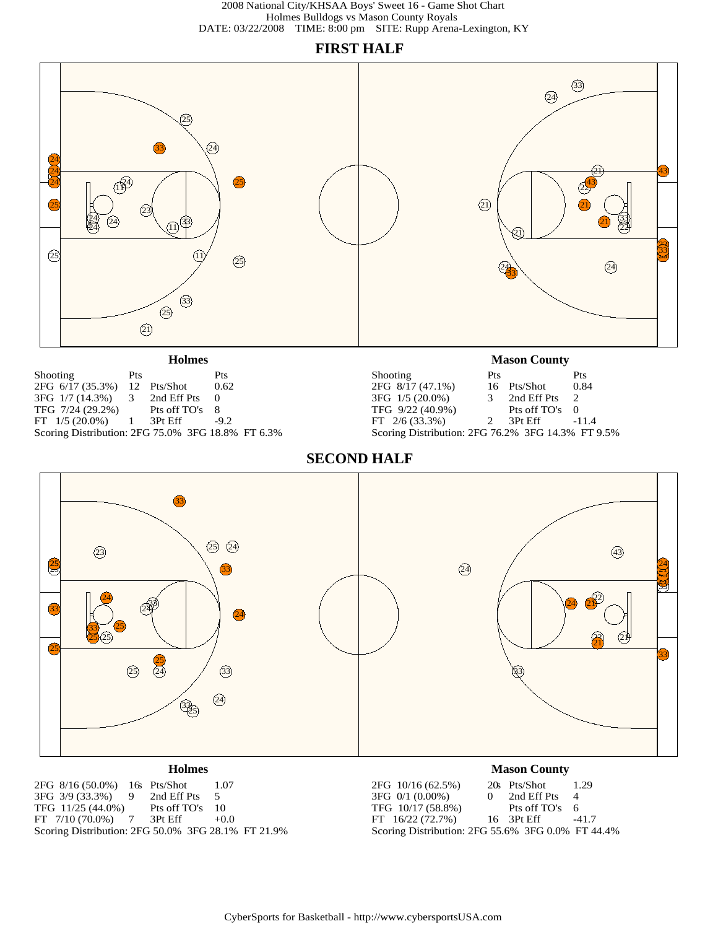# **FIRST HALF**

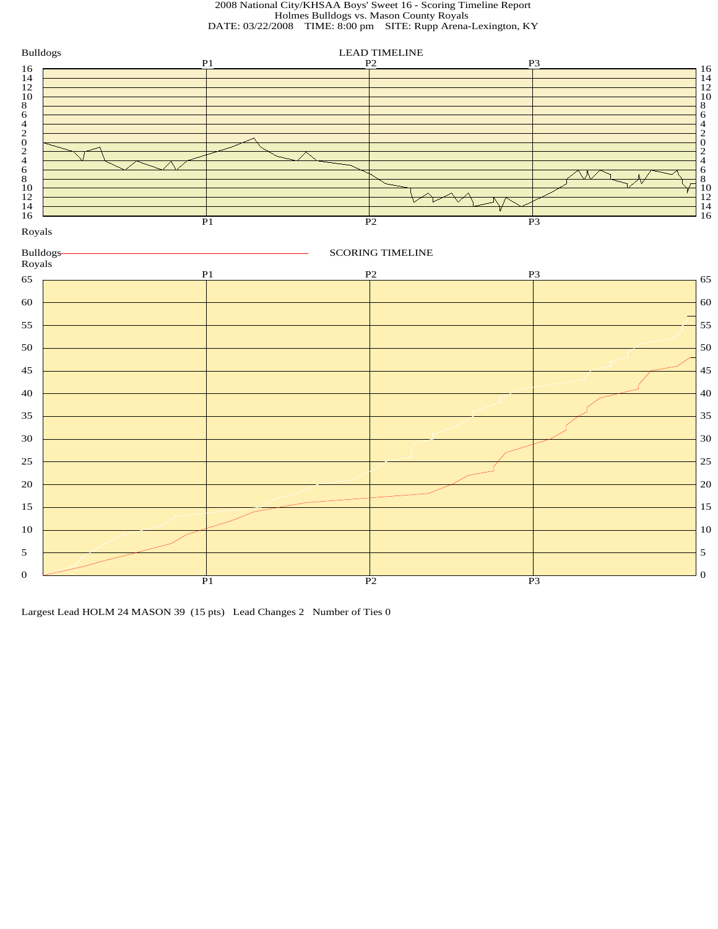2008 National City/KHSAA Boys' Sweet 16 - Scoring Timeline Report Holmes Bulldogs vs. Mason County Royals DATE: 03/22/2008 TIME: 8:00 pm SITE: Rupp Arena-Lexington, KY



Largest Lead HOLM 24 MASON 39 (15 pts) Lead Changes 2 Number of Ties 0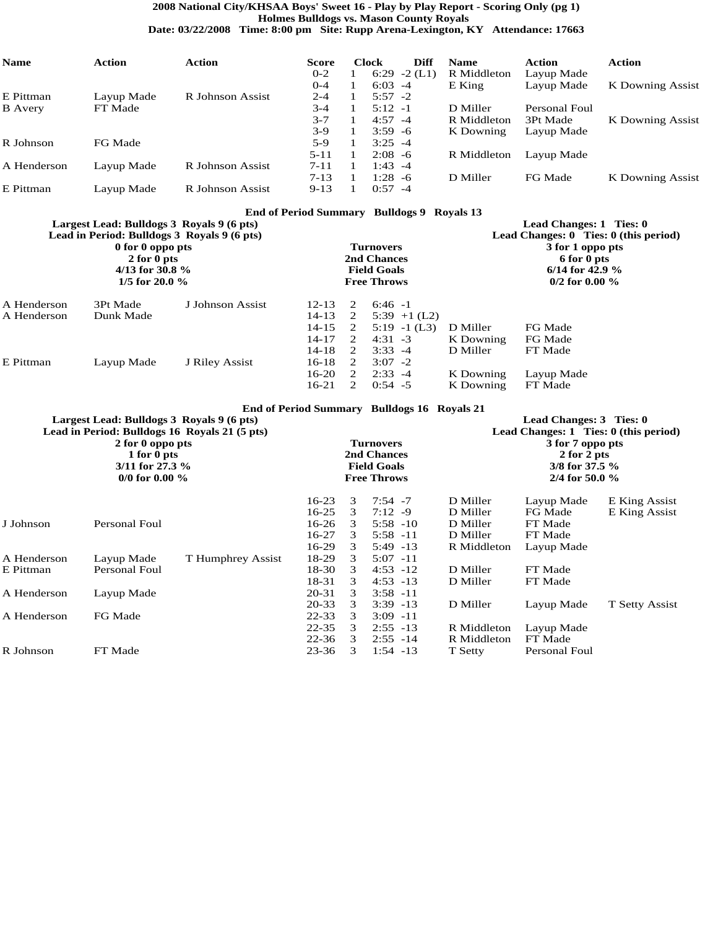## **2008 National City/KHSAA Boys' Sweet 16 - Play by Play Report - Scoring Only (pg 1) Holmes Bulldogs vs. Mason County Royals**

**Date: 03/22/2008 Time: 8:00 pm Site: Rupp Arena-Lexington, KY Attendance: 17663**

| <b>Name</b>    | Action     | Action           | <b>Score</b> | <b>Clock</b> | Diff      | <b>Name</b> | Action        | <b>Action</b>    |
|----------------|------------|------------------|--------------|--------------|-----------|-------------|---------------|------------------|
|                |            |                  | $0 - 2$      | 6:29         | $-2$ (L1) | R Middleton | Layup Made    |                  |
|                |            |                  | $0 - 4$      | $6:03 -4$    |           | $E$ King    | Layup Made    | K Downing Assist |
| E Pittman      | Layup Made | R Johnson Assist | $2 - 4$      | $5:57 - 2$   |           |             |               |                  |
| <b>B</b> Avery | FT Made    |                  | $3 - 4$      | $5:12 -1$    |           | D Miller    | Personal Foul |                  |
|                |            |                  | $3 - 7$      | $4:57 - 4$   |           | R Middleton | 3Pt Made      | K Downing Assist |
|                |            |                  | $3-9$        | $3:59 - 6$   |           | K Downing   | Layup Made    |                  |
| R Johnson      | FG Made    |                  | $5-9$        | $3:25 - 4$   |           |             |               |                  |
|                |            |                  | $5 - 11$     | $2:08 - 6$   |           | R Middleton | Layup Made    |                  |
| A Henderson    | Layup Made | R Johnson Assist | $7 - 11$     | 1:43 -4      |           |             |               |                  |
|                |            |                  | $7 - 13$     | 1:28 -6      |           | D Miller    | FG Made       | K Downing Assist |
| E Pittman      | Lavup Made | R Johnson Assist | $9 - 13$     | $0:57 - 4$   |           |             |               |                  |

### **End of Period Summary Bulldogs 9 Royals 13**

| Largest Lead: Bulldogs 3 Royals 9 (6 pts) |  |  | Lead Changes: 1 Ties: 0 |
|-------------------------------------------|--|--|-------------------------|

|                            | 0 for 0 oppo pts<br>$2$ for $0$ pts<br>4/13 for 30.8 $\%$<br>1/5 for 20.0 $\%$ | Lead in Period: Bulldogs 3 Royals 9 (6 pts) |                                              |                                                                                            | <b>Turnovers</b><br>2nd Chances<br><b>Field Goals</b><br><b>Free Throws</b> |                        | Lead Changes: 0 Ties: 0 (this period)<br>3 for 1 oppo pts<br>6 for 0 pts<br>6/14 for 42.9 $\%$<br>$0/2$ for 0.00 % |
|----------------------------|--------------------------------------------------------------------------------|---------------------------------------------|----------------------------------------------|--------------------------------------------------------------------------------------------|-----------------------------------------------------------------------------|------------------------|--------------------------------------------------------------------------------------------------------------------|
| A Henderson<br>A Henderson | 3Pt Made<br>Dunk Made                                                          | J Johnson Assist                            | $12 - 13$<br>14-13<br>$14 - 15$<br>$14 - 17$ | $\mathcal{D}_{\mathcal{L}}$<br><sup>2</sup><br><sup>2</sup><br>$\mathcal{D}_{\mathcal{L}}$ | $6:46 -1$<br>$5:39$ +1 (L2)<br>$5:19$ -1 (L3)<br>$4:31 - 3$                 | D Miller<br>K Downing  | FG Made<br>FG Made                                                                                                 |
| E Pittman                  | Layup Made                                                                     | J Riley Assist                              | $14 - 18$<br>$16-18$                         | 2<br>2                                                                                     | $3:33 - 4$<br>$3:07 - 2$                                                    | D Miller               | FT Made                                                                                                            |
|                            |                                                                                |                                             | 16-20<br>$16-21$                             | $\mathcal{L}$<br>$\mathcal{D}_{\cdot}$                                                     | $2:33 - 4$<br>$0:54$ -5                                                     | K Downing<br>K Downing | Layup Made<br>FT Made                                                                                              |

|  | End of Period Summary Bulldogs 16 Royals 21 |  |
|--|---------------------------------------------|--|
|  |                                             |  |

|             | Largest Lead: Bulldogs 3 Royals 9 (6 pts)<br>2 for 0 oppo pts<br>1 for 0 pts<br>$3/11$ for 27.3 %<br>0/0 for 0.00 $\%$ | Lead in Period: Bulldogs 16 Royals 21 (5 pts) |                      |        | <b>Turnovers</b><br>2nd Chances<br><b>Field Goals</b><br><b>Free Throws</b> | Lead Changes: 3 Ties: 0<br>Lead Changes: $1$ Ties: $0$ (this period)<br>3 for 7 oppo pts<br>2 for 2 pts<br>$3/8$ for 37.5 %<br>2/4 for 50.0 $\%$ |                       |                                |  |  |  |
|-------------|------------------------------------------------------------------------------------------------------------------------|-----------------------------------------------|----------------------|--------|-----------------------------------------------------------------------------|--------------------------------------------------------------------------------------------------------------------------------------------------|-----------------------|--------------------------------|--|--|--|
|             |                                                                                                                        |                                               | $16 - 23$<br>$16-25$ | 3<br>3 | $7:54 - 7$<br>$7:12 - 9$                                                    | D Miller<br>D Miller                                                                                                                             | Layup Made<br>FG Made | E King Assist<br>E King Assist |  |  |  |
| J Johnson   | Personal Foul                                                                                                          |                                               | 16-26                | 3      | $5:58 - 10$                                                                 | D Miller                                                                                                                                         | FT Made               |                                |  |  |  |
|             |                                                                                                                        |                                               | 16-27                | 3      | $5:58 - 11$                                                                 | D Miller                                                                                                                                         | FT Made               |                                |  |  |  |
|             |                                                                                                                        |                                               | $16-29$              | 3      | $5:49$ -13                                                                  | R Middleton                                                                                                                                      | Layup Made            |                                |  |  |  |
| A Henderson | Layup Made                                                                                                             | T Humphrey Assist                             | 18-29                | 3      | $5:07 -11$                                                                  |                                                                                                                                                  |                       |                                |  |  |  |
| E Pittman   | Personal Foul                                                                                                          |                                               | 18-30                | 3      | $4:53 - 12$                                                                 | D Miller                                                                                                                                         | FT Made               |                                |  |  |  |
|             |                                                                                                                        |                                               | 18-31                | 3      | $4:53 - 13$                                                                 | D Miller                                                                                                                                         | FT Made               |                                |  |  |  |
| A Henderson | Layup Made                                                                                                             |                                               | 20-31                | 3      | $3:58 - 11$                                                                 |                                                                                                                                                  |                       |                                |  |  |  |
|             |                                                                                                                        |                                               | 20-33                | 3      | $3:39 - 13$                                                                 | D Miller                                                                                                                                         | Layup Made            | T Setty Assist                 |  |  |  |
| A Henderson | FG Made                                                                                                                |                                               | $22 - 33$            | 3      | $3:09 -11$                                                                  |                                                                                                                                                  |                       |                                |  |  |  |
|             |                                                                                                                        |                                               | $22 - 35$            | 3      | $2:55 - 13$                                                                 | R Middleton                                                                                                                                      | Layup Made            |                                |  |  |  |
|             |                                                                                                                        |                                               | $22 - 36$            | 3      | $2:55 - 14$                                                                 | R Middleton                                                                                                                                      | FT Made               |                                |  |  |  |
| R Johnson   | FT Made                                                                                                                |                                               | 23-36                | 3      | $1:54 - 13$                                                                 | T Setty                                                                                                                                          | Personal Foul         |                                |  |  |  |
|             |                                                                                                                        |                                               |                      |        |                                                                             |                                                                                                                                                  |                       |                                |  |  |  |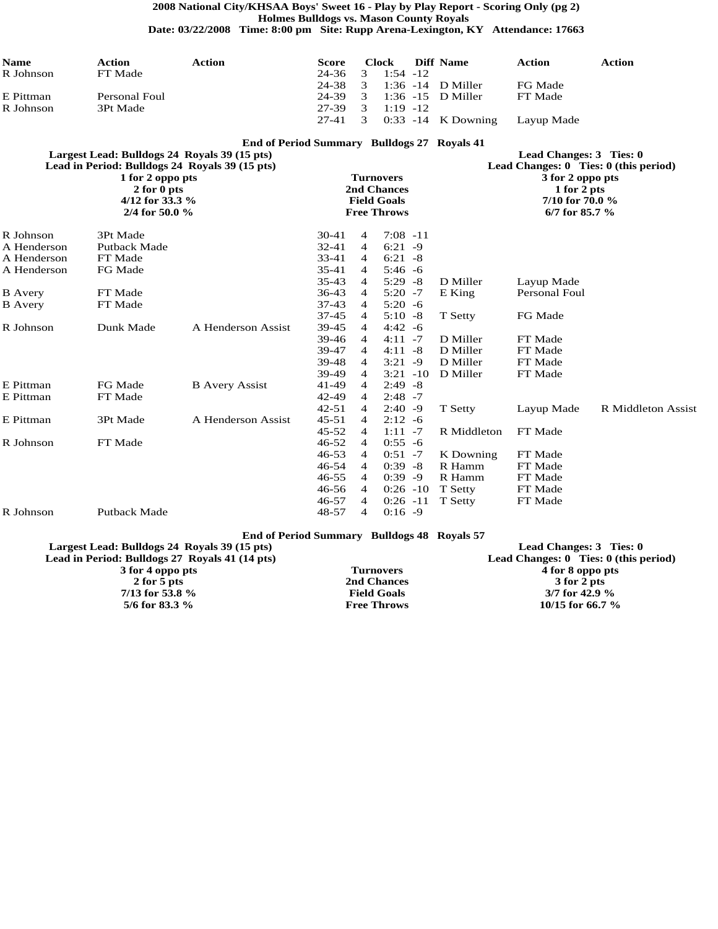**2008 National City/KHSAA Boys' Sweet 16 - Play by Play Report - Scoring Only (pg 2) Holmes Bulldogs vs. Mason County Royals**

**Date: 03/22/2008 Time: 8:00 pm Site: Rupp Arena-Lexington, KY Attendance: 17663**

| <b>Name</b>    | <b>Action</b>                                                                                  | <b>Action</b>                               | <b>Score</b>   |                | <b>Clock</b>                      | <b>Diff Name</b>     | <b>Action</b>                     | <b>Action</b>                             |
|----------------|------------------------------------------------------------------------------------------------|---------------------------------------------|----------------|----------------|-----------------------------------|----------------------|-----------------------------------|-------------------------------------------|
| R Johnson      | FT Made                                                                                        |                                             | 24-36          | 3              | $1:54 - 12$                       |                      |                                   |                                           |
|                |                                                                                                |                                             | 24-38          | 3              | $1:36 - 14$                       | D Miller             | FG Made                           |                                           |
| E Pittman      | Personal Foul                                                                                  |                                             | 24-39          | 3              | $1:36 - 15$                       | D Miller             | FT Made                           |                                           |
| R Johnson      | 3Pt Made                                                                                       |                                             | 27-39          | 3              | $1:19 - 12$                       |                      |                                   |                                           |
|                |                                                                                                |                                             | $27 - 41$      | 3              |                                   | $0:33$ -14 K Downing | Layup Made                        |                                           |
|                |                                                                                                | End of Period Summary Bulldogs 27 Royals 41 |                |                |                                   |                      |                                   |                                           |
|                | Largest Lead: Bulldogs 24 Royals 39 (15 pts)<br>Lead in Period: Bulldogs 24 Royals 39 (15 pts) |                                             |                |                |                                   |                      | Lead Changes: 3 Ties: 0           | Lead Changes: $0$ Ties: $0$ (this period) |
|                | 1 for 2 oppo pts                                                                               |                                             |                |                | <b>Turnovers</b>                  |                      | 3 for 2 oppo pts                  |                                           |
|                | 2 for 0 pts<br>4/12 for 33.3 $%$                                                               |                                             |                |                | 2nd Chances<br><b>Field Goals</b> |                      | 1 for 2 pts<br>7/10 for 70.0 $\%$ |                                           |
|                | 2/4 for 50.0 $\%$                                                                              |                                             |                |                | <b>Free Throws</b>                |                      | 6/7 for 85.7 $%$                  |                                           |
|                |                                                                                                |                                             |                |                |                                   |                      |                                   |                                           |
| R Johnson      | 3Pt Made                                                                                       |                                             | $30 - 41$      | 4              | $7:08 - 11$                       |                      |                                   |                                           |
| A Henderson    | Putback Made                                                                                   |                                             | $32 - 41$      | $\overline{4}$ | $6:21 - 9$                        |                      |                                   |                                           |
| A Henderson    | FT Made                                                                                        |                                             | 33-41          | 4              | $6:21 - 8$                        |                      |                                   |                                           |
| A Henderson    | FG Made                                                                                        |                                             | $35 - 41$      | 4              | $5:46 - 6$                        |                      |                                   |                                           |
|                |                                                                                                |                                             | $35 - 43$      | $\overline{4}$ | $5:29 - 8$                        | D Miller             | Layup Made                        |                                           |
| <b>B</b> Avery | FT Made                                                                                        |                                             | 36-43          | 4              | $5:20 - 7$                        | E King               | Personal Foul                     |                                           |
| <b>B</b> Avery | FT Made                                                                                        |                                             | $37 - 43$      | 4              | $5:20 - 6$                        |                      |                                   |                                           |
|                |                                                                                                |                                             | $37 - 45$      | 4              | $5:10 - 8$                        | T Setty              | FG Made                           |                                           |
| R Johnson      | Dunk Made                                                                                      | A Henderson Assist                          | 39-45          | 4              | $4:42 - 6$                        |                      |                                   |                                           |
|                |                                                                                                |                                             | 39-46<br>39-47 | 4<br>4         | $4:11 - 7$<br>$4:11 - 8$          | D Miller<br>D Miller | FT Made<br>FT Made                |                                           |
|                |                                                                                                |                                             | 39-48          | $\overline{4}$ | $3:21 - 9$                        | D Miller             | FT Made                           |                                           |
|                |                                                                                                |                                             | 39-49          | 4              | $3:21 - 10$                       | D Miller             | FT Made                           |                                           |
| E Pittman      | FG Made                                                                                        | <b>B</b> Avery Assist                       | 41-49          | 4              | $2:49 - 8$                        |                      |                                   |                                           |
| E Pittman      | FT Made                                                                                        |                                             | 42-49          | 4              | $2:48 - 7$                        |                      |                                   |                                           |
|                |                                                                                                |                                             | $42 - 51$      | 4              | $2:40 - 9$                        | T Setty              | Layup Made                        | R Middleton Assist                        |
| E Pittman      | 3Pt Made                                                                                       | A Henderson Assist                          | $45 - 51$      | $\overline{4}$ | $2:12 - 6$                        |                      |                                   |                                           |
|                |                                                                                                |                                             | $45 - 52$      | 4              | $1:11 - 7$                        | R Middleton          | FT Made                           |                                           |
| R Johnson      | FT Made                                                                                        |                                             | 46-52          | 4              | $0:55 - 6$                        |                      |                                   |                                           |
|                |                                                                                                |                                             | $46 - 53$      | $\overline{4}$ | $0:51 - 7$                        | K Downing            | FT Made                           |                                           |
|                |                                                                                                |                                             | 46-54          | 4              | $0:39 - 8$                        | R Hamm               | FT Made                           |                                           |
|                |                                                                                                |                                             | $46 - 55$      | $\overline{4}$ | $0:39 -9$                         | R Hamm               | FT Made                           |                                           |
|                |                                                                                                |                                             | 46-56          | 4              | $0:26 -10$                        | T Setty              | FT Made                           |                                           |
|                |                                                                                                |                                             | $46 - 57$      | 4              | $0:26 -11$                        | T Setty              | FT Made                           |                                           |
| R Johnson      | Putback Made                                                                                   |                                             | 48-57          | $\overline{4}$ | $0:16 - 9$                        |                      |                                   |                                           |
|                |                                                                                                |                                             |                |                |                                   |                      |                                   |                                           |

### **End of Period Summary Bulldogs 48 Royals 57**

| Largest Lead: Bulldogs 24 Royals 39 (15 pts)   |                    | Lead Changes: 3 Ties: 0                   |
|------------------------------------------------|--------------------|-------------------------------------------|
| Lead in Period: Bulldogs 27 Royals 41 (14 pts) |                    | Lead Changes: $0$ Ties: $0$ (this period) |
| 3 for 4 oppo pts                               | Turnovers          | 4 for 8 oppo pts                          |
| 2 for 5 pts                                    | 2nd Chances        | 3 for 2 pts                               |
| 7/13 for 53.8 $\%$                             | <b>Field Goals</b> | $3/7$ for 42.9 %                          |
| 5/6 for 83.3 $\%$                              | <b>Free Throws</b> | 10/15 for 66.7 $%$                        |